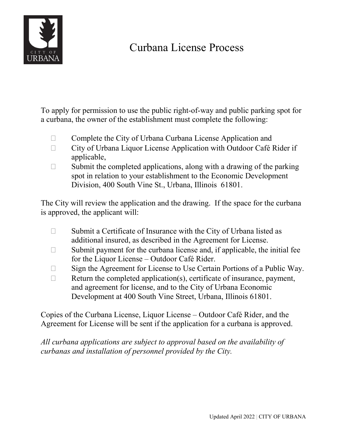

## Curbana License Process

To apply for permission to use the public right-of-way and public parking spot for a curbana, the owner of the establishment must complete the following:

- $\Box$  Complete the City of Urbana Curbana License Application and
- $\Box$  City of Urbana Liquor License Application with Outdoor Café Rider if applicable,
- $\Box$  Submit the completed applications, along with a drawing of the parking spot in relation to your establishment to the Economic Development Division, 400 South Vine St., Urbana, Illinois 61801.

The City will review the application and the drawing. If the space for the curbana is approved, the applicant will:

- $\Box$  Submit a Certificate of Insurance with the City of Urbana listed as additional insured, as described in the Agreement for License.
- $\Box$  Submit payment for the curbana license and, if applicable, the initial fee for the Liquor License – Outdoor Café Rider.
- $\Box$  Sign the Agreement for License to Use Certain Portions of a Public Way.
- $\Box$  Return the completed application(s), certificate of insurance, payment, and agreement for license, and to the City of Urbana Economic Development at 400 South Vine Street, Urbana, Illinois 61801.

Copies of the Curbana License, Liquor License – Outdoor Café Rider, and the Agreement for License will be sent if the application for a curbana is approved.

*All curbana applications are subject to approval based on the availability of curbanas and installation of personnel provided by the City.*